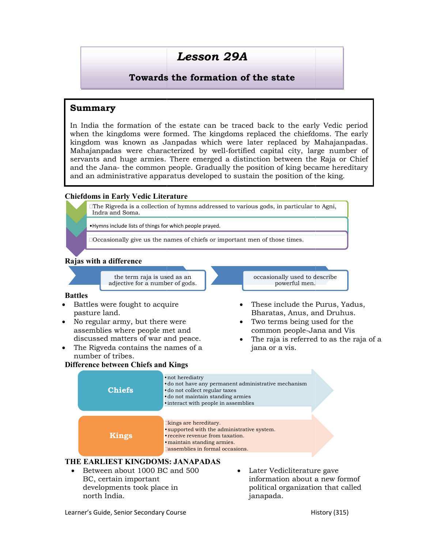# Lesson 29A

### Towards the formation of the state

#### Summary

In India the formation of the estate can be traced back to the early Vedic period when the kingdoms were formed. The kingdoms replaced the chiefdoms. The early In India the formation of the estate can be traced back to the early Vedic period<br>when the kingdoms were formed. The kingdoms replaced the chiefdoms. The early<br>kingdom was known as Janpadas which were later replaced by Mah Mahajanpadas were characterized by well-fortified capital city, large number of  $\vert$ servants and huge armies. There emerged a distinction between the Raja or Chief In India the formation of the estate can be traced back to the early Vedic period when the kingdoms were formed. The kingdoms replaced the chiefdoms. The early kingdom was known as Janpadas which were later replaced by Mah and an administrative apparatus developed to sustain the position of the king.

#### Chiefdoms in Early Vedic Literature Chiefdoms in Early





#### THE EARLIEST KINGDOMS: JANAPADAS

- Between about 1000 BC and 500 BC, certain important developments took place in north India.
- political organization that called Later Vedicliterature gave information about a new formof janapada.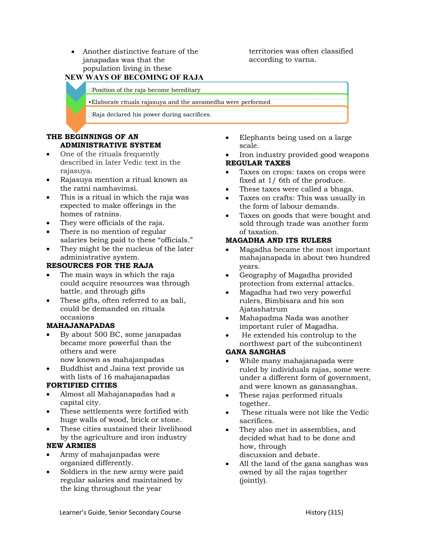Another distinctive feature of the janapadas was that the population living in these

territories was often classified according to varna.

## NEW WAYS OF BECOMING OF RAJA NEW WAYS OF

Position of the raja become hereditary

•Elaborate rituals rajasuya and the asvamedha were performed

Raja declared his power during sacrifices.

#### THE BEGINNINGS OF AN ADMINISTRATIVE SYSTEM

- One of the rituals frequently described in later Vedic text in the rajasuya.
- Rajasuya mention a ritual known as the ratni namhavimsi.
- This is a ritual in which the raja was expected to make offerings in the homes of ratnins. described in later Vedic text in the<br>
rajasuya.<br>
Rajasuya mention a ritual known as<br>
the ratni namhavimsi.<br>
This is a ritual in which the raja was<br>
expected to make offerings in the<br>
homes of ratnins.<br>
They were officials
- They were officials of the raja.
- There is no mention of regular salaries being paid to these "officials."
- They might be the nucleus of the later  $\bullet$ administrative system.

#### RESOURCES FOR THE RAJA

- The main ways in which the raja could acquire resources was through battle, and through gifts
- These gifts, often referred to as bali, could be demanded on rituals occasions

#### MAHAJANAPADAS

- By about 500 BC, some janapadas became more powerful than the others and were now known as mahajanpadas They might be the nucleus of the later and main ways in which the raja could acquire resources was through battle, and through gifts and through gifts and through gifts and through gifts and through  $\bf H\Delta J\bf ANAPADAS$  and or i
- Buddhist and Jaina text provide us with lists of 16 mahajanapadas

#### FORTIFIED CITIES

- Almost all Mahajanapadas had a capital city.
- These settlements were fortified with huge walls of wood, brick or stone.
- These cities sustained their livelihood by the agriculture and iron industry

#### NEW ARMIES

- Army of mahajanpadas were organized differently.
- Soldiers in the new army were paid regular salaries and maintained by the king throughout the year
- scale.
- Iron industry provided good weapons REGULAR TAXES For distinctive feature of the the corrections was often classified<br>
pulation living in these<br>
pulation is the secome hereditary<br> **Elaborate rituals rajasuya and the asyamedha were performed**<br> **Elaborate rituals rajasuya a** 
	- Taxes on crops: taxes on crops were fixed at 1/ 6th of the produce.
	- $\bullet$  These taxes were called a bhaga.
	- Taxes on crafts: This was usually in the form of labour demands.
	- Taxes on goods that were bought and Taxes on goods that were bought and<br>sold through trade was another form of taxation.

#### MAGADHA AND ITS RULERS RULERS

- Magadha became the most important mahajanapada in about two hundred years. Magadha became the<br>mahajanapada in abo<br>years.<br>Geography of Magadh
- Geography of Magadha provided protection from external attacks.
- Magadha had two very powerful Magadha had two very powerful<br>rulers, Bimbisara and his son Ajatashatrum
- Mahapadma Nada was another important ruler of Magadha.
- He extended his controlup to the northwest part of the subcontinent

#### GANA SANGHAS

- **EDENTIFINDS OF AN EXAMPION**<br> **EDENTIFIES STYLES SO FAN EXAMPION** SOME CHECT THE CHECT INTERFERENT CONDITIONS TO CONDUCT INTERFERENT CHECT INTERFERENT CONDUCTS IN EXAMPION 1. This is a retual line which is the product of While many mahajanapada were ruled by individuals rajas, some were under a different form of government, and were known as ganasanghas. northwest part of the subcontinent<br>**IA SANGHAS**<br>While many mahajanapada were<br>ruled by individuals rajas, some were<br>under a different form of government,<br>and were known as ganasanghas.
	- These rajas performed rituals together.
	- These rituals were not like the Vedic sacrifices.
	- They also met in assemblies, and They also met in assemblies, and<br>decided what had to be done and how, through discussion and debate.
	- $\bullet$  All the land of the gana sanghas was owned by all the rajas together (jointly).